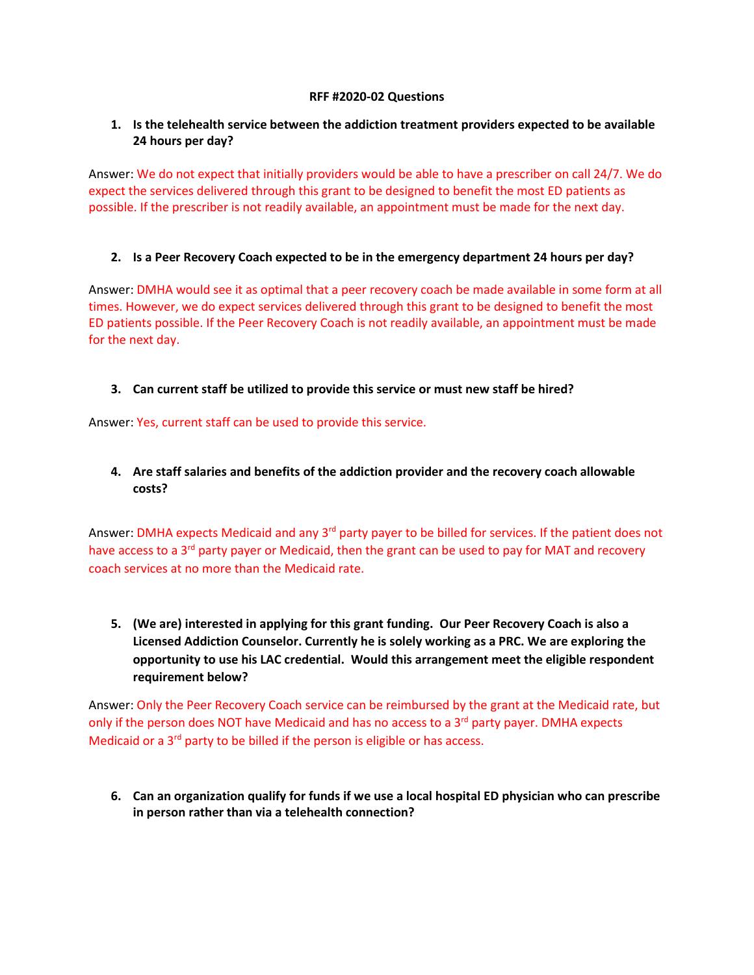#### **RFF #2020-02 Questions**

# **1. Is the telehealth service between the addiction treatment providers expected to be available 24 hours per day?**

Answer: We do not expect that initially providers would be able to have a prescriber on call 24/7. We do expect the services delivered through this grant to be designed to benefit the most ED patients as possible. If the prescriber is not readily available, an appointment must be made for the next day.

# **2. Is a Peer Recovery Coach expected to be in the emergency department 24 hours per day?**

Answer: DMHA would see it as optimal that a peer recovery coach be made available in some form at all times. However, we do expect services delivered through this grant to be designed to benefit the most ED patients possible. If the Peer Recovery Coach is not readily available, an appointment must be made for the next day.

# **3. Can current staff be utilized to provide this service or must new staff be hired?**

Answer: Yes, current staff can be used to provide this service.

# **4. Are staff salaries and benefits of the addiction provider and the recovery coach allowable costs?**

Answer: DMHA expects Medicaid and any 3<sup>rd</sup> party payer to be billed for services. If the patient does not have access to a 3<sup>rd</sup> party payer or Medicaid, then the grant can be used to pay for MAT and recovery coach services at no more than the Medicaid rate.

**5. (We are) interested in applying for this grant funding. Our Peer Recovery Coach is also a Licensed Addiction Counselor. Currently he is solely working as a PRC. We are exploring the opportunity to use his LAC credential. Would this arrangement meet the eligible respondent requirement below?**

Answer: Only the Peer Recovery Coach service can be reimbursed by the grant at the Medicaid rate, but only if the person does NOT have Medicaid and has no access to a 3<sup>rd</sup> party payer. DMHA expects Medicaid or a 3<sup>rd</sup> party to be billed if the person is eligible or has access.

**6. Can an organization qualify for funds if we use a local hospital ED physician who can prescribe in person rather than via a telehealth connection?**